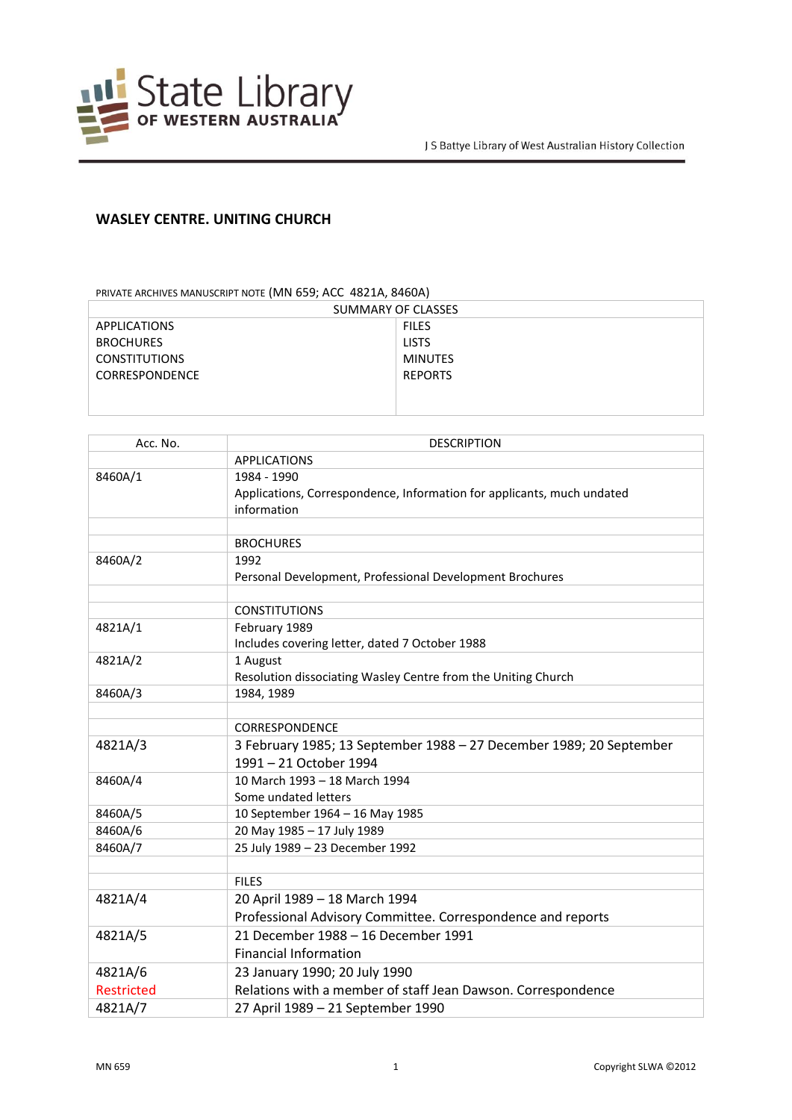

## **WASLEY CENTRE. UNITING CHURCH**

PRIVATE ARCHIVES MANUSCRIPT NOTE (MN 659; ACC 4821A, 8460A)

| SUMMARY OF CLASSES    |                |  |
|-----------------------|----------------|--|
| APPLICATIONS          | <b>FILES</b>   |  |
| <b>BROCHURES</b>      | <b>LISTS</b>   |  |
| <b>CONSTITUTIONS</b>  | MINUTES        |  |
| <b>CORRESPONDENCE</b> | <b>REPORTS</b> |  |
|                       |                |  |
|                       |                |  |

| Acc. No.          | <b>DESCRIPTION</b>                                                     |
|-------------------|------------------------------------------------------------------------|
|                   | <b>APPLICATIONS</b>                                                    |
| 8460A/1           | 1984 - 1990                                                            |
|                   | Applications, Correspondence, Information for applicants, much undated |
|                   | information                                                            |
|                   |                                                                        |
|                   | <b>BROCHURES</b>                                                       |
| 8460A/2           | 1992                                                                   |
|                   | Personal Development, Professional Development Brochures               |
|                   |                                                                        |
|                   | <b>CONSTITUTIONS</b>                                                   |
| 4821A/1           | February 1989                                                          |
|                   | Includes covering letter, dated 7 October 1988                         |
| 4821A/2           | 1 August                                                               |
|                   | Resolution dissociating Wasley Centre from the Uniting Church          |
| 8460A/3           | 1984, 1989                                                             |
|                   | <b>CORRESPONDENCE</b>                                                  |
| 4821A/3           | 3 February 1985; 13 September 1988 - 27 December 1989; 20 September    |
|                   | 1991 - 21 October 1994                                                 |
|                   |                                                                        |
| 8460A/4           | 10 March 1993 - 18 March 1994<br>Some undated letters                  |
| 8460A/5           | 10 September 1964 - 16 May 1985                                        |
| 8460A/6           | 20 May 1985 - 17 July 1989                                             |
| 8460A/7           | 25 July 1989 - 23 December 1992                                        |
|                   |                                                                        |
|                   | <b>FILES</b>                                                           |
| 4821A/4           | 20 April 1989 - 18 March 1994                                          |
|                   | Professional Advisory Committee. Correspondence and reports            |
| 4821A/5           | 21 December 1988 - 16 December 1991                                    |
|                   | <b>Financial Information</b>                                           |
| 4821A/6           | 23 January 1990; 20 July 1990                                          |
| <b>Restricted</b> | Relations with a member of staff Jean Dawson. Correspondence           |
|                   |                                                                        |
| 4821A/7           | 27 April 1989 - 21 September 1990                                      |